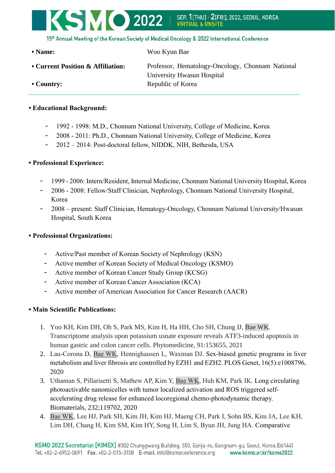# KSMO 2022 SEP. 11THUI - 21FRII. 2022. SEOUL. KOREA **VIRTIJA**

15<sup>th</sup> Annual Meeting of the Korean Society of Medical Oncology & 2022 International Conference

**• Name:** Woo Kyun Bae

**• Current Position & Affiliation:** Professor, Hematology-Oncology, Chonnam National University Hwasun Hospital • **Country:** Republic of Korea

### **• Educational Background:**

- 1992 1998: M.D., Chonnam National University, College of Medicine, Korea
- 2008 2011: Ph.D., Chonnam National University, College of Medicine, Korea
- 2012 2014: Post-doctoral fellow, NIDDK, NIH, Bethesda, USA

## **• Professional Experience:**

- 1999 2006: Intern/Resident, Internal Medicine, Chonnam National University Hospital, Korea
- 2006 2008: Fellow/Staff Clinician, Nephrology, Chonnam National University Hospital, Korea
- 2008 present: Staff Clinician, Hematogy-Oncology, Chonnam National University/Hwasun Hospital, South Korea

### **• Professional Organizations:**

- Active/Past member of Korean Society of Nephrology (KSN)
- Active member of Korean Society of Medical Oncology (KSMO)
- Active member of Korean Cancer Study Group (KCSG)
- Active member of Korean Cancer Association (KCA)
- Active member of American Association for Cancer Research (AACR)

## **• Main Scientific Publications:**

- 1. Yoo KH, Kim DH, Oh S, Park MS, Kim H, Ha HH, Cho SH, Chung IJ, Bae WK. Transcriptome analysis upon potassium usnate exposure reveals ATF3-induced apoptosis in human gastric and colon cancer cells. Phytomedicine, 91:153655, 2021
- 2. Lau-Corona D, Bae WK, Hennighausen L, Waxman DJ. Sex-biased genetic programs in liver metabolism and liver fibrosis are controlled by EZH1 and EZH2. PLOS Genet, 16(5):e1008796, 2020
- 3. Uthaman S, Pillarisetti S, Mathew AP, Kim Y, Bae WK, Huh KM, Park IK. Long circulating photoactivable nanomicelles with tumor localized activation and ROS triggered selfaccelerating drug release for enhanced locoregional chemo-photodynamic therapy. Biomaterials, 232;119702, 2020
- 4. Bae WK, Lee HJ, Park SH, Kim JH, Kim HJ, Maeng CH, Park I, Sohn BS, Kim JA, Lee KH, Lim DH, Chang H, Kim SM, Kim HY, Song H, Lim S, Byun JH, Jung HA. Comparative